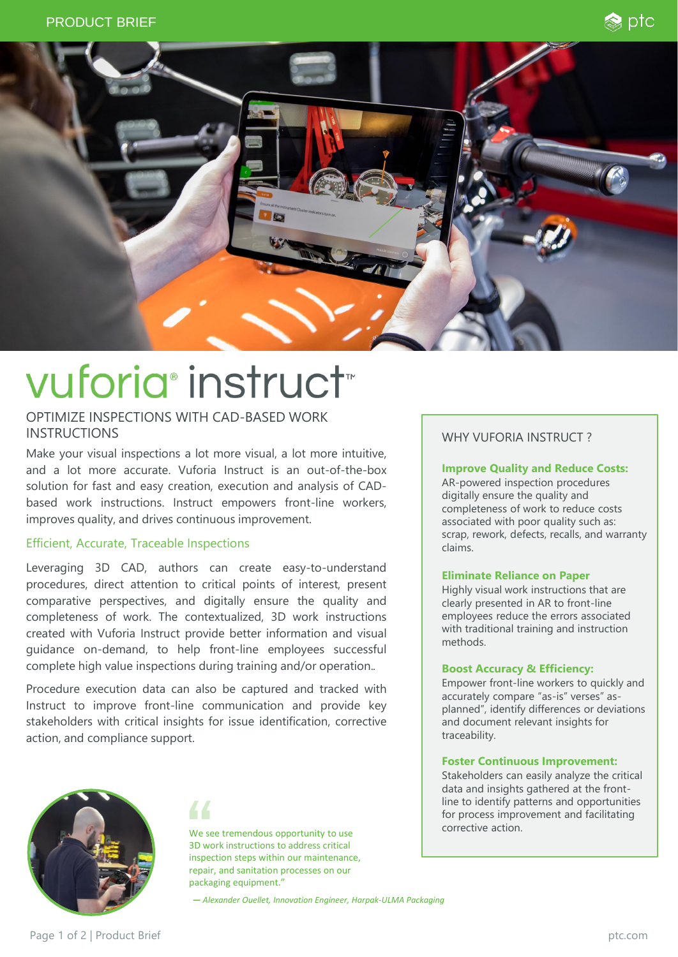



# vuforia® instruct™

# OPTIMIZE INSPECTIONS WITH CAD-BASED WORK INSTRUCTIONS

Make your visual inspections a lot more visual, a lot more intuitive, and a lot more accurate. Vuforia Instruct is an out-of-the-box solution for fast and easy creation, execution and analysis of CADbased work instructions. Instruct empowers front-line workers, improves quality, and drives continuous improvement.

#### Efficient, Accurate, Traceable Inspections

Leveraging 3D CAD, authors can create easy-to-understand procedures, direct attention to critical points of interest, present comparative perspectives, and digitally ensure the quality and completeness of work. The contextualized, 3D work instructions created with Vuforia Instruct provide better information and visual guidance on-demand, to help front-line employees successful complete high value inspections during training and/or operation.*.*

Procedure execution data can also be captured and tracked with Instruct to improve front-line communication and provide key stakeholders with critical insights for issue identification, corrective action, and compliance support.



We see tremendous opportunity to use 3D work instructions to address critical inspection steps within our maintenance, repair, and sanitation processes on our packaging equipment."

*— Alexander Ouellet, Innovation Engineer, Harpak-ULMA Packaging*

### WHY VUFORIA INSTRUCT ?

#### **Improve Quality and Reduce Costs:**

AR-powered inspection procedures digitally ensure the quality and completeness of work to reduce costs associated with poor quality such as: scrap, rework, defects, recalls, and warranty claims.

#### **Eliminate Reliance on Paper**

Highly visual work instructions that are clearly presented in AR to front-line employees reduce the errors associated with traditional training and instruction methods.

#### **Boost Accuracy & Efficiency:**

Empower front-line workers to quickly and accurately compare "as-is" verses" asplanned", identify differences or deviations and document relevant insights for traceability.

#### **Foster Continuous Improvement:**

Stakeholders can easily analyze the critical data and insights gathered at the frontline to identify patterns and opportunities for process improvement and facilitating corrective action.